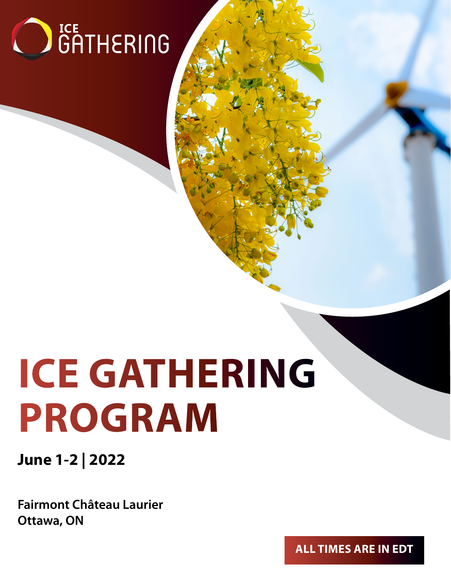

# **ICE GATHERING PROGRAM**

**June 1-2 | 2022**

**Fairmont Château Laurier Ottawa, ON**

**ALL TIMES ARE IN EDT**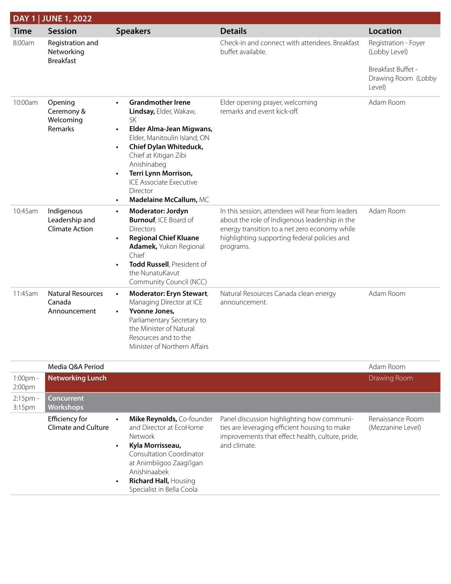|             | DAY 1   JUNE 1, 2022                                  |                                                                                                                                                                                                                                                                                                                                                                |                                                                                                                                                                                                                   |                                                                                              |
|-------------|-------------------------------------------------------|----------------------------------------------------------------------------------------------------------------------------------------------------------------------------------------------------------------------------------------------------------------------------------------------------------------------------------------------------------------|-------------------------------------------------------------------------------------------------------------------------------------------------------------------------------------------------------------------|----------------------------------------------------------------------------------------------|
| <b>Time</b> | <b>Session</b>                                        | <b>Speakers</b>                                                                                                                                                                                                                                                                                                                                                | <b>Details</b>                                                                                                                                                                                                    | <b>Location</b>                                                                              |
| 8:00am      | Registration and<br>Networking<br><b>Breakfast</b>    |                                                                                                                                                                                                                                                                                                                                                                | Check-in and connect with attendees. Breakfast<br>buffet available.                                                                                                                                               | Registration - Foyer<br>(Lobby Level)<br>Breakfast Buffet -<br>Drawing Room (Lobby<br>Level) |
| 10:00am     | Opening<br>Ceremony &<br>Welcoming<br>Remarks         | <b>Grandmother Irene</b><br>$\bullet$<br>Lindsay, Elder, Wakaw,<br><b>SK</b><br>Elder Alma-Jean Migwans,<br>$\bullet$<br>Elder, Manitoulin Island, ON<br><b>Chief Dylan Whiteduck,</b><br>$\bullet$<br>Chief at Kitigan Zibi<br>Anishinabeg<br>Terri Lynn Morrison,<br>$\bullet$<br>ICE Associate Executive<br>Director<br>Madelaine McCallum, MC<br>$\bullet$ | Elder opening prayer, welcoming<br>remarks and event kick-off.                                                                                                                                                    | Adam Room                                                                                    |
| 10:45am     | Indigenous<br>Leadership and<br><b>Climate Action</b> | Moderator: Jordyn<br>$\bullet$<br><b>Burnouf, ICE Board of</b><br><b>Directors</b><br><b>Regional Chief Kluane</b><br>$\bullet$<br>Adamek, Yukon Regional<br>Chief<br>Todd Russell, President of<br>$\bullet$<br>the NunatuKavut<br>Community Council (NCC)                                                                                                    | In this session, attendees will hear from leaders<br>about the role of Indigenous leadership in the<br>energy transition to a net zero economy while<br>highlighting supporting federal policies and<br>programs. | Adam Room                                                                                    |
| 11:45am     | <b>Natural Resources</b><br>Canada<br>Announcement    | Moderator: Eryn Stewart,<br>$\bullet$<br>Managing Director at ICE<br>Yvonne Jones,<br>$\bullet$<br>Parliamentary Secretary to<br>the Minister of Natural<br>Resources and to the<br>Minister of Northern Affairs                                                                                                                                               | Natural Resources Canada clean energy<br>announcement.                                                                                                                                                            | Adam Room                                                                                    |
|             | $M = 11.000000$                                       |                                                                                                                                                                                                                                                                                                                                                                |                                                                                                                                                                                                                   | $A \cup A$                                                                                   |

|                                  | Media O&A Period                                    |                                                                                                                                                                                                                                                                        |                                                                                                                                                                 | Adam Room                             |
|----------------------------------|-----------------------------------------------------|------------------------------------------------------------------------------------------------------------------------------------------------------------------------------------------------------------------------------------------------------------------------|-----------------------------------------------------------------------------------------------------------------------------------------------------------------|---------------------------------------|
| $1:00pm -$<br>2:00 <sub>pm</sub> | <b>Networking Lunch</b>                             |                                                                                                                                                                                                                                                                        |                                                                                                                                                                 | Drawing Room                          |
| $2:15$ pm -<br>3:15pm            | <b>Concurrent</b><br><b>Workshops</b>               |                                                                                                                                                                                                                                                                        |                                                                                                                                                                 |                                       |
|                                  | <b>Efficiency for</b><br><b>Climate and Culture</b> | Mike Reynolds, Co-founder<br>$\bullet$<br>and Director at EcoHome<br>Network<br>Kyla Morrisseau,<br>$\bullet$<br><b>Consultation Coordinator</b><br>at Animbiigoo Zaagi'igan<br>Anishinaabek<br><b>Richard Hall, Housing</b><br>$\bullet$<br>Specialist in Bella Coola | Panel discussion highlighting how communi-<br>ties are leveraging efficient housing to make<br>improvements that effect health, culture, pride,<br>and climate. | Renaissance Room<br>(Mezzanine Level) |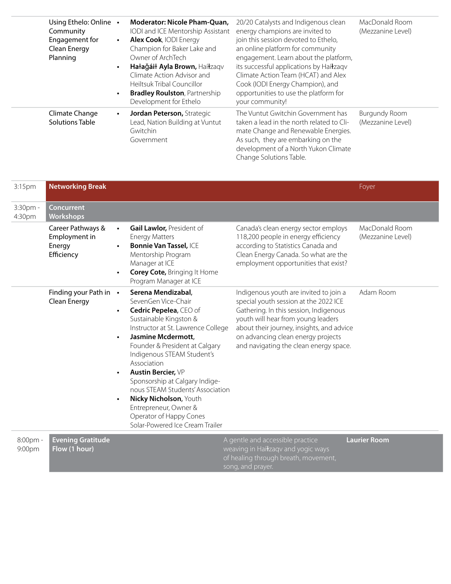| Using Ethelo: Online .<br>Community<br>Engagement for<br>$\bullet$<br>Clean Energy<br>Planning<br>$\bullet$<br>$\bullet$ | Moderator: Nicole Pham-Quan,<br>IODI and ICE Mentorship Assistant<br>Alex Cook, IODI Energy<br>Champion for Baker Lake and<br>Owner of ArchTech<br>Hałağáił Ayla Brown, Haíłzagy<br>Climate Action Advisor and<br>Heiltsuk Tribal Councillor<br><b>Bradley Roulston, Partnership</b><br>Development for Ethelo | 20/20 Catalysts and Indigenous clean<br>energy champions are invited to<br>join this session devoted to Ethelo,<br>an online platform for community<br>engagement. Learn about the platform,<br>its successful applications by Haíłzagy<br>Climate Action Team (HCAT) and Alex<br>Cook (IODI Energy Champion), and<br>opportunities to use the platform for<br>your community! | MacDonald Room<br>(Mezzanine Level)       |
|--------------------------------------------------------------------------------------------------------------------------|----------------------------------------------------------------------------------------------------------------------------------------------------------------------------------------------------------------------------------------------------------------------------------------------------------------|--------------------------------------------------------------------------------------------------------------------------------------------------------------------------------------------------------------------------------------------------------------------------------------------------------------------------------------------------------------------------------|-------------------------------------------|
| Climate Change<br>$\bullet$<br>Solutions Table                                                                           | Jordan Peterson, Strategic<br>Lead, Nation Building at Vuntut<br>Gwitchin<br>Government                                                                                                                                                                                                                        | The Vuntut Gwitchin Government has<br>taken a lead in the north related to Cli-<br>mate Change and Renewable Energies.<br>As such, they are embarking on the<br>development of a North Yukon Climate<br>Change Solutions Table.                                                                                                                                                | <b>Burgundy Room</b><br>(Mezzanine Level) |

| 3:15pm             | <b>Networking Break</b>                                    |                                                                                                                                                                                                                                                                                                                                                                                                                                                              |                                                                                                                                                                                                                                                                                              | Foyer                               |
|--------------------|------------------------------------------------------------|--------------------------------------------------------------------------------------------------------------------------------------------------------------------------------------------------------------------------------------------------------------------------------------------------------------------------------------------------------------------------------------------------------------------------------------------------------------|----------------------------------------------------------------------------------------------------------------------------------------------------------------------------------------------------------------------------------------------------------------------------------------------|-------------------------------------|
| 3:30pm -<br>4:30pm | <b>Concurrent</b><br>Workshops                             |                                                                                                                                                                                                                                                                                                                                                                                                                                                              |                                                                                                                                                                                                                                                                                              |                                     |
|                    | Career Pathways &<br>Employment in<br>Energy<br>Efficiency | <b>Gail Lawlor, President of</b><br>$\bullet$<br><b>Energy Matters</b><br><b>Bonnie Van Tassel, ICE</b><br>Mentorship Program<br>Manager at ICE<br><b>Corey Cote, Bringing It Home</b><br>Program Manager at ICE                                                                                                                                                                                                                                             | Canada's clean energy sector employs<br>118,200 people in energy efficiency<br>according to Statistics Canada and<br>Clean Energy Canada. So what are the<br>employment opportunities that exist?                                                                                            | MacDonald Room<br>(Mezzanine Level) |
|                    | Finding your Path in •<br>Clean Energy                     | Serena Mendizabal,<br>SevenGen Vice-Chair<br>Cedric Pepelea, CEO of<br>Sustainable Kingston &<br>Instructor at St. Lawrence College<br>Jasmine Mcdermott,<br>Founder & President at Calgary<br>Indigenous STEAM Student's<br>Association<br><b>Austin Bercier, VP</b><br>Sponsorship at Calgary Indige-<br>nous STEAM Students' Association<br>Nicky Nicholson, Youth<br>Entrepreneur, Owner &<br>Operator of Happy Cones<br>Solar-Powered Ice Cream Trailer | Indigenous youth are invited to join a<br>special youth session at the 2022 ICE<br>Gathering. In this session, Indigenous<br>youth will hear from young leaders<br>about their journey, insights, and advice<br>on advancing clean energy projects<br>and navigating the clean energy space. | Adam Room                           |
| 8:00pm -<br>9:00pm | <b>Evening Gratitude</b><br>Flow (1 hour)                  |                                                                                                                                                                                                                                                                                                                                                                                                                                                              | A gentle and accessible practice<br>weaving in Haíłzaqv and yogic ways<br>of healing through breath, movement,<br>song, and prayer.                                                                                                                                                          | Laurier Room                        |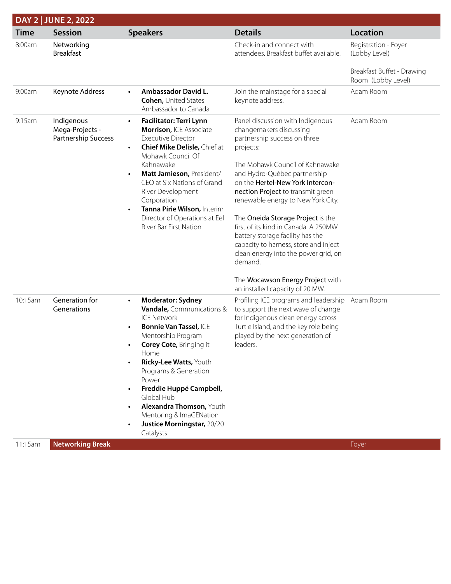|             | DAY 2   JUNE 2, 2022                                 |                                                                                                                                                                                                                                                                                                                                                                                                                          |                                                                                                                                                                                                                                                                                                                                                                                                                                                                                                                                                                                |                                                                                           |
|-------------|------------------------------------------------------|--------------------------------------------------------------------------------------------------------------------------------------------------------------------------------------------------------------------------------------------------------------------------------------------------------------------------------------------------------------------------------------------------------------------------|--------------------------------------------------------------------------------------------------------------------------------------------------------------------------------------------------------------------------------------------------------------------------------------------------------------------------------------------------------------------------------------------------------------------------------------------------------------------------------------------------------------------------------------------------------------------------------|-------------------------------------------------------------------------------------------|
| <b>Time</b> | <b>Session</b>                                       | <b>Speakers</b>                                                                                                                                                                                                                                                                                                                                                                                                          | <b>Details</b>                                                                                                                                                                                                                                                                                                                                                                                                                                                                                                                                                                 | <b>Location</b>                                                                           |
| 8:00am      | Networking<br><b>Breakfast</b>                       |                                                                                                                                                                                                                                                                                                                                                                                                                          | Check-in and connect with<br>attendees. Breakfast buffet available.                                                                                                                                                                                                                                                                                                                                                                                                                                                                                                            | Registration - Foyer<br>(Lobby Level)<br>Breakfast Buffet - Drawing<br>Room (Lobby Level) |
| 9:00am      | Keynote Address                                      | Ambassador David L.<br>$\bullet$<br><b>Cohen, United States</b><br>Ambassador to Canada                                                                                                                                                                                                                                                                                                                                  | Join the mainstage for a special<br>keynote address.                                                                                                                                                                                                                                                                                                                                                                                                                                                                                                                           | Adam Room                                                                                 |
| 9:15am      | Indigenous<br>Mega-Projects -<br>Partnership Success | Facilitator: Terri Lynn<br>$\bullet$<br>Morrison, ICE Associate<br><b>Executive Director</b><br><b>Chief Mike Delisle, Chief at</b><br>$\bullet$<br>Mohawk Council Of<br>Kahnawake<br>Matt Jamieson, President/<br>$\bullet$<br>CEO at Six Nations of Grand<br>River Development<br>Corporation<br>Tanna Pirie Wilson, Interim<br>$\bullet$<br>Director of Operations at Eel<br>River Bar First Nation                   | Panel discussion with Indigenous<br>changemakers discussing<br>partnership success on three<br>projects:<br>The Mohawk Council of Kahnawake<br>and Hydro-Québec partnership<br>on the Hertel-New York Intercon-<br>nection Project to transmit green<br>renewable energy to New York City.<br>The Oneida Storage Project is the<br>first of its kind in Canada. A 250MW<br>battery storage facility has the<br>capacity to harness, store and inject<br>clean energy into the power grid, on<br>demand.<br>The Wocawson Energy Project with<br>an installed capacity of 20 MW. | Adam Room                                                                                 |
| 10:15am     | Generation for<br>Generations                        | <b>Moderator: Sydney</b><br>$\bullet$<br><b>Vandale, Communications &amp;</b><br><b>ICE Network</b><br><b>Bonnie Van Tassel, ICE</b><br>$\bullet$<br>Mentorship Program<br><b>Corey Cote, Bringing it</b><br>Home<br>Ricky-Lee Watts, Youth<br>Programs & Generation<br>Power<br>Freddie Huppé Campbell,<br>Global Hub<br>Alexandra Thomson, Youth<br>Mentoring & ImaGENation<br>Justice Morningstar, 20/20<br>Catalysts | Profiling ICE programs and leadership<br>to support the next wave of change<br>for Indigenous clean energy across<br>Turtle Island, and the key role being<br>played by the next generation of<br>leaders.                                                                                                                                                                                                                                                                                                                                                                     | Adam Room                                                                                 |
| 11:15am     | <b>Networking Break</b>                              |                                                                                                                                                                                                                                                                                                                                                                                                                          |                                                                                                                                                                                                                                                                                                                                                                                                                                                                                                                                                                                | Foyer                                                                                     |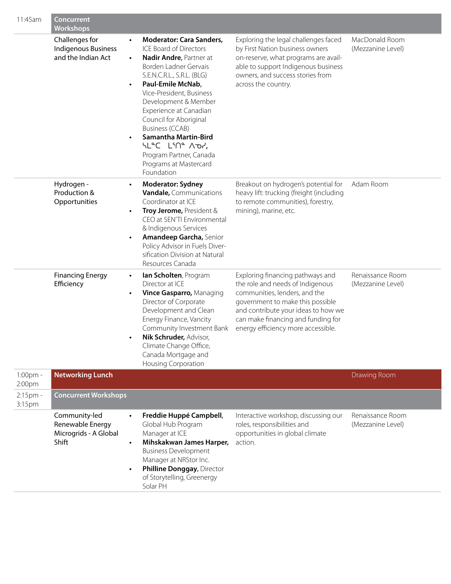| 11:45am            | <b>Concurrent</b><br><b>Workshops</b>                               |                                                                                                                                                                                                                                                                                                                                                                                                                                                                                        |                                                                                                                                                                                                                                                              |                                       |
|--------------------|---------------------------------------------------------------------|----------------------------------------------------------------------------------------------------------------------------------------------------------------------------------------------------------------------------------------------------------------------------------------------------------------------------------------------------------------------------------------------------------------------------------------------------------------------------------------|--------------------------------------------------------------------------------------------------------------------------------------------------------------------------------------------------------------------------------------------------------------|---------------------------------------|
|                    | Challenges for<br><b>Indigenous Business</b><br>and the Indian Act  | <b>Moderator: Cara Sanders,</b><br>$\bullet$<br>ICE Board of Directors<br>Nadir Andre, Partner at<br>$\bullet$<br>Borden Ladner Gervais<br>S.E.N.C.R.L., S.R.L. (BLG)<br>Paul-Emile McNab,<br>$\bullet$<br>Vice-President, Business<br>Development & Member<br>Experience at Canadian<br>Council for Aboriginal<br><b>Business (CCAB)</b><br><b>Samantha Martin-Bird</b><br>$\bullet$<br>SLCC LIN <sup>e</sup> Aor,<br>Program Partner, Canada<br>Programs at Mastercard<br>Foundation | Exploring the legal challenges faced<br>by First Nation business owners<br>on-reserve, what programs are avail-<br>able to support Indigenous business<br>owners, and success stories from<br>across the country.                                            | MacDonald Room<br>(Mezzanine Level)   |
|                    | Hydrogen -<br>Production &<br>Opportunities                         | <b>Moderator: Sydney</b><br>$\bullet$<br><b>Vandale, Communications</b><br>Coordinator at ICE<br>Troy Jerome, President &<br>$\bullet$<br>CEO at SEN'TI Environmental<br>& Indigenous Services<br>Amandeep Garcha, Senior<br>$\bullet$<br>Policy Advisor in Fuels Diver-<br>sification Division at Natural<br>Resources Canada                                                                                                                                                         | Breakout on hydrogen's potential for<br>heavy lift: trucking (freight (including<br>to remote communities), forestry,<br>mining), marine, etc.                                                                                                               | Adam Room                             |
|                    | <b>Financing Energy</b><br>Efficiency                               | lan Scholten, Program<br>$\bullet$<br>Director at ICE<br>Vince Gasparro, Managing<br>$\bullet$<br>Director of Corporate<br>Development and Clean<br>Energy Finance, Vancity<br>Community Investment Bank<br>Nik Schruder, Advisor,<br>Climate Change Office,<br>Canada Mortgage and<br><b>Housing Corporation</b>                                                                                                                                                                      | Exploring financing pathways and<br>the role and needs of Indigenous<br>communities, lenders, and the<br>government to make this possible<br>and contribute your ideas to how we<br>can make financing and funding for<br>energy efficiency more accessible. | Renaissance Room<br>(Mezzanine Level) |
| 1:00pm -<br>2:00pm | <b>Networking Lunch</b>                                             |                                                                                                                                                                                                                                                                                                                                                                                                                                                                                        |                                                                                                                                                                                                                                                              | Drawing Room                          |
| 2:15pm -<br>3:15pm | <b>Concurrent Workshops</b>                                         |                                                                                                                                                                                                                                                                                                                                                                                                                                                                                        |                                                                                                                                                                                                                                                              |                                       |
|                    | Community-led<br>Renewable Energy<br>Microgrids - A Global<br>Shift | Freddie Huppé Campbell,<br>$\bullet$<br>Global Hub Program<br>Manager at ICE<br>Mihskakwan James Harper,<br>$\bullet$<br><b>Business Development</b><br>Manager at NRStor Inc.<br>Philline Donggay, Director<br>of Storytelling, Greenergy<br>Solar PH                                                                                                                                                                                                                                 | Interactive workshop, discussing our<br>roles, responsibilities and<br>opportunities in global climate<br>action.                                                                                                                                            | Renaissance Room<br>(Mezzanine Level) |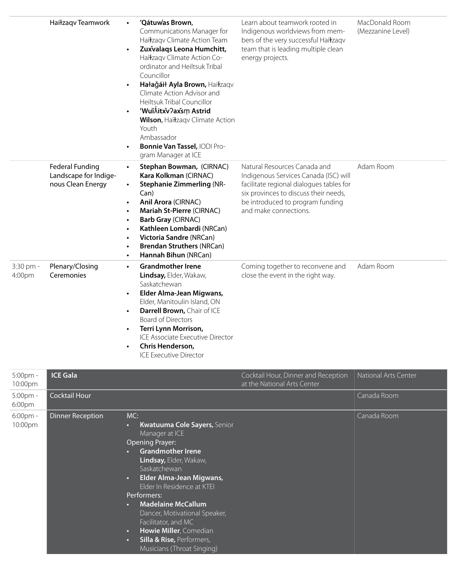|                     | Haíłzagy Teamwork                                                    | 'Qátuw'as Brown,<br>$\bullet$<br>Communications Manager for<br>Haíłzaqv Climate Action Team<br>Zuxvalaqs Leona Humchitt,<br>Haíłzagy Climate Action Co-<br>ordinator and Heiltsuk Tribal<br>Councillor<br>Hałağáił Ayla Brown, Haíłzaqv<br>Climate Action Advisor and<br>Heiltsuk Tribal Councillor<br>'Wu'iÂitxv?axsm Astrid<br>Wilson, Haíłzaqv Climate Action<br>Youth<br>Ambassador<br>Bonnie Van Tassel, IODI Pro-<br>$\bullet$<br>gram Manager at ICE | Learn about teamwork rooted in<br>Indigenous worldviews from mem-<br>bers of the very successful Haíłzaqv<br>team that is leading multiple clean<br>energy projects.                                                    | MacDonald Room<br>(Mezzanine Level) |
|---------------------|----------------------------------------------------------------------|-------------------------------------------------------------------------------------------------------------------------------------------------------------------------------------------------------------------------------------------------------------------------------------------------------------------------------------------------------------------------------------------------------------------------------------------------------------|-------------------------------------------------------------------------------------------------------------------------------------------------------------------------------------------------------------------------|-------------------------------------|
|                     | <b>Federal Funding</b><br>Landscape for Indige-<br>nous Clean Energy | Stephan Bowman, (CIRNAC)<br>Kara Kolkman (CIRNAC)<br><b>Stephanie Zimmerling (NR-</b><br>$\bullet$<br>Can)<br>Anil Arora (CIRNAC)<br>Mariah St-Pierre (CIRNAC)<br><b>Barb Gray (CIRNAC)</b><br>Kathleen Lombardi (NRCan)<br><b>Victoria Sandre (NRCan)</b><br><b>Brendan Struthers (NRCan)</b><br>Hannah Bihun (NRCan)<br>$\bullet$                                                                                                                         | Natural Resources Canada and<br>Indigenous Services Canada (ISC) will<br>facilitate regional dialogues tables for<br>six provinces to discuss their needs,<br>be introduced to program funding<br>and make connections. | Adam Room                           |
| 3:30 pm -<br>4:00pm | Plenary/Closing<br>Ceremonies                                        | <b>Grandmother Irene</b><br>$\bullet$<br>Lindsay, Elder, Wakaw,<br>Saskatchewan<br>Elder Alma-Jean Migwans,<br>$\bullet$<br>Elder, Manitoulin Island, ON<br>Darrell Brown, Chair of ICE<br>$\bullet$<br><b>Board of Directors</b><br>Terri Lynn Morrison,<br>$\bullet$<br>ICE Associate Executive Director<br>Chris Henderson,<br><b>ICE Executive Director</b>                                                                                             | Coming together to reconvene and<br>close the event in the right way.                                                                                                                                                   | Adam Room                           |

| 5:00pm -<br>10:00pm | <b>ICE Gala</b>         |                                                                                                                                                                                                                                                                                                                                                                                                                                                             | Cocktail Hour, Dinner and Reception<br>at the National Arts Center | National Arts Center |
|---------------------|-------------------------|-------------------------------------------------------------------------------------------------------------------------------------------------------------------------------------------------------------------------------------------------------------------------------------------------------------------------------------------------------------------------------------------------------------------------------------------------------------|--------------------------------------------------------------------|----------------------|
| 5:00pm -<br>6:00pm  | Cocktail Hour           |                                                                                                                                                                                                                                                                                                                                                                                                                                                             |                                                                    | Canada Room          |
| 6:00pm -<br>10:00pm | <b>Dinner Reception</b> | MC:<br>Kwatuuma Cole Sayers, Senior<br>o.<br>Manager at ICE<br>Opening Prayer:<br><b>Grandmother Irene</b><br>Lindsay, Elder, Wakaw,<br>Saskatchewan<br>Elder Alma-Jean Migwans,<br>$\bullet$<br>Elder In Residence at KTEI<br>Performers:<br><b>Madelaine McCallum</b><br>$\bullet$<br>Dancer, Motivational Speaker,<br>Facilitator, and MC<br>Howie Miller, Comedian<br>$\bullet$<br>Silla & Rise, Performers,<br>$\bullet$<br>Musicians (Throat Singing) |                                                                    | Canada Room          |